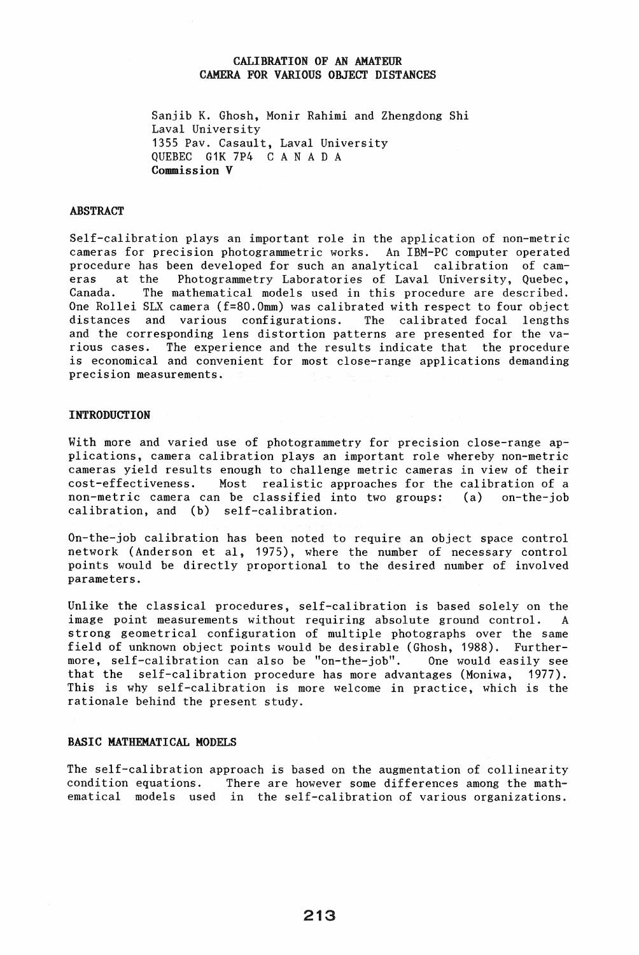# CALIBRATION OF AN AMATEUR CAMERA FOR VARIOUS OBJECT DISTANCES

Sanjib K. Ghosh, Monir Rahimi and Zhengdong Shi Laval University 1355 Pav. Casault, Laval University QUEBEC G1K 7P4 CAN A D A Commission V

### ABSTRACT

Self-calibration plays an important role in the application of non-metric cameras for precision photogrammetric works. An IBM-PC computer operated procedure has been developed for such an analytical calibration of cam-<br>eras at the Photogrammetry Laboratories of Laval University, Ouebec, Photogrammetry Laboratories of Laval University, Quebec, Canada. The mathematical models used in this procedure are described. One Rollei SLX camera (f=80.0mm) was calibrated with respect to four object distances and various configurations. The calibrated focal lengths and the corresponding lens distortion patterns are presented for the various cases. The experience and the results indicate that the procedure is economical and convenient for most close-range applications demanding precision measurements.

### **INTRODUCTION**

With more and varied use of photogrammetry for precision close-range applications, camera calibration plays an important role whereby non-metric cameras yield results enough to challenge metric cameras in view of their cost-effectiveness. Most realistic approaches for the calibration of a non-metric camera can be classified into two groups: (a) on-the-job calibration, and (b) self-calibration.

On-the-job calibration has been noted to require an object space control network (Anderson et aI, 1975), where the number of necessary control points would be directly proportional to the desired number of involved parameters.

Unlike the classical procedures, self-calibration is based solely on the image point measurements without requiring absolute ground control. A strong geometrical configuration of multiple photographs over the same field of unknown object points would be desirable (Ghosh, 1988). Furthermore, self-calibration can also be "on-the-job". One would easily see that the self-calibration procedure has more advantages (Moniwa, 1977). This is why self-calibration is more welcome in practice, which is the rationale behind the present study.

# BASIC MATHEMATICAL MODELS

The self-calibration approach is based on the augmentation of collinearity condition equations. There are however some differences among the mathematical models used in the self-calibration of various organizations.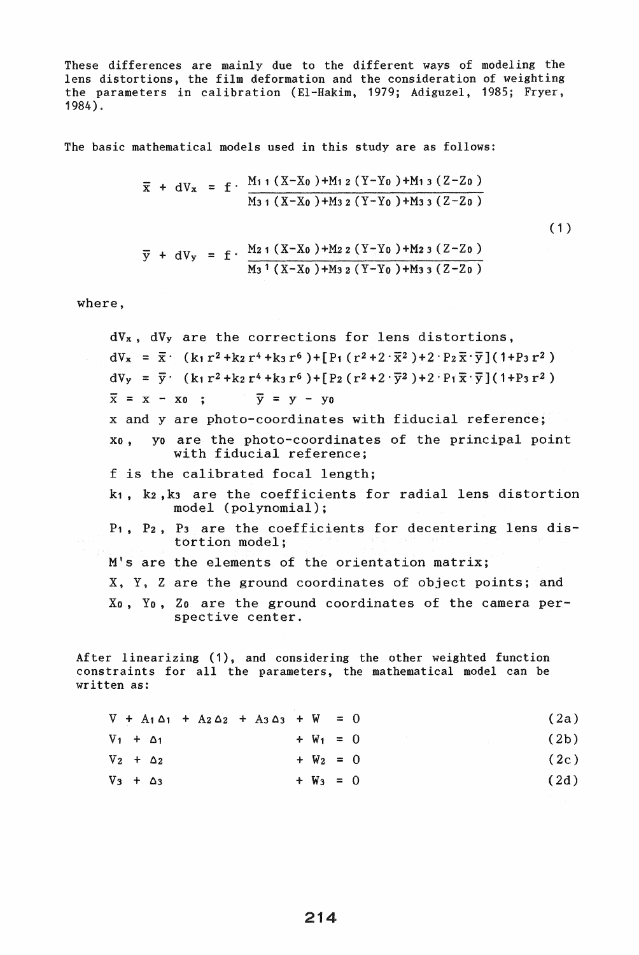These differences are mainly due to the different ways of modeling the lens distortions, the film deformation and the consideration of weighting the parameters in calibration (EI-Hakim, 1979; Adiguzel, 1985; Fryer, 1984).

The basic mathematical models used in this study are as follows:

$$
\overline{x}
$$
 + dV<sub>x</sub> = f  $\frac{M_{11}(X-X_0)+M_{12}(Y-Y_0)+M_{13}(Z-Z_0)}{M_{31}(X-X_0)+M_{32}(Y-Y_0)+M_{33}(Z-Z_0)}$ 

 $(1)$ 

$$
\overline{y}
$$
 + dV<sub>y</sub> = f ·  $\frac{M_{21} (X-X_0) + M_{22} (Y-Y_0) + M_{23} (Z-Z_0)}{M_{3} (X-X_0) + M_{32} (Y-Y_0) + M_{33} (Z-Z_0)}$ 

where,

dVx, dVy are the corrections for lens distortions,  $dV_{x} = \bar{x} \cdot (k_1 r^2 + k_2 r^4 + k_3 r^6) + [P_1 (r^2 + 2 \cdot \bar{x}^2) + 2 \cdot P_2 \bar{x} \cdot \bar{y}] (1 + P_3 r^2)$  $dV_y = \overline{y}$  (k<sub>1</sub>r<sup>2</sup> + k<sub>2</sub>r<sup>4</sup> + k<sub>3</sub>r<sup>6</sup>) + [P<sub>2</sub>(r<sup>2</sup> + 2 ·  $\overline{y}$ <sup>2</sup>) + 2 · P<sub>1</sub> $\overline{x}$  ·  $\overline{y}$ ](1+P<sub>3</sub>r<sup>2</sup>)  $\overline{x}$  = x - xo ;  $\overline{y}$  = y - yo x and yare photo-coordinates with fiducial reference; Xo, yo are the photo-coordinates of the principal point with fiducial reference; f is the calibrated focal length; k1, k2, k3 are the coefficients for radial lens distortion model (polynomial); P1, P2, P3 are the coefficients for decentering lens distortion model; M's are the elements of the orientation matrix; X, Y, Z are the ground coordinates of object points; and Xo, Yo, Zo are the ground coordinates of the camera perspective center.

After linearizing (1), and considering the other weighted function constraints for all the parameters, the mathematical model can be written as:

|                  |  |  | $V + A_1 \Delta_1 + A_2 \Delta_2 + A_3 \Delta_3 + W = 0$ |             |  | (2a) |
|------------------|--|--|----------------------------------------------------------|-------------|--|------|
| $V_1 + \Delta_1$ |  |  |                                                          | $+ W_1 = 0$ |  | (2b) |
| $V_2 + \Delta_2$ |  |  |                                                          | $+ W_2 = 0$ |  | (2c) |
| $V_3 + \Delta_3$ |  |  |                                                          | $+ W_3 = 0$ |  | (2d) |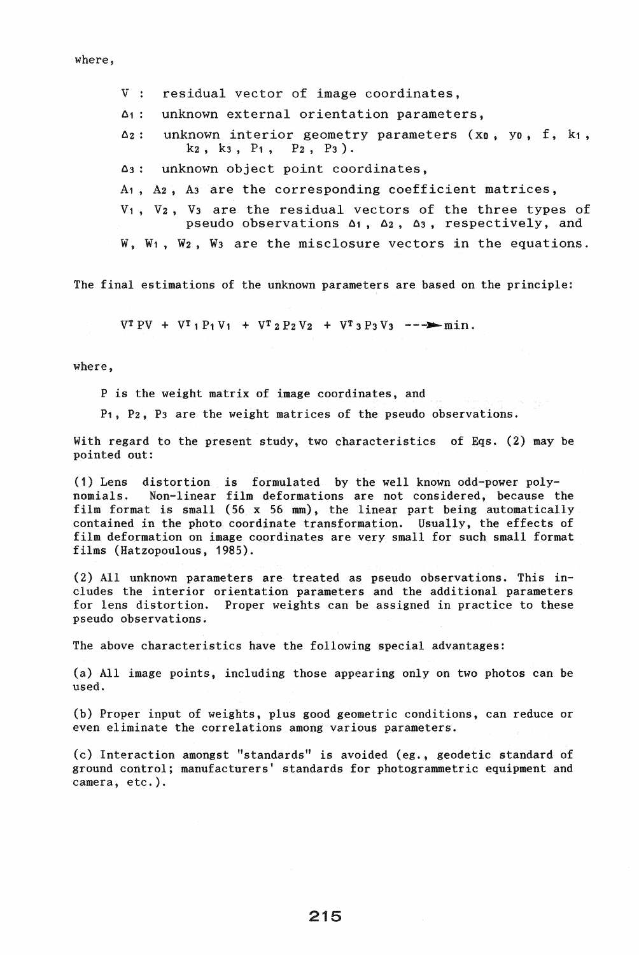where,

- V : residual vector of image coordinates,
- $\Delta$ 1: unknown external orientation parameters,
- $\Delta$ 2: unknown interior geometry parameters (x0, y0, f, k1, k2, k3, P1, P2, P3).
- 03: unknown object point coordinates,
- A<sub>1</sub>, A<sub>2</sub>, A<sub>3</sub> are the corresponding coefficient matrices,
- V1, V2, V3 are the residual vectors of the three types of pseudo observations  $\Delta_1$ ,  $\Delta_2$ ,  $\Delta_3$ , respectively, and
- W, W<sub>1</sub>, W<sub>2</sub>, W<sub>3</sub> are the misclosure vectors in the equations.

The final estimations of the unknown parameters are based on the principle:

 $VT PV + VT_1 P_1 V_1 + VT_2 P_2 V_2 + VT_3 P_3 V_3 - \longrightarrow min.$ 

where.

P is the weight matrix of image coordinates, and

P1, P2, P3 are the weight matrices of the pseudo observations.

With regard to the present study, two characteristics of Eqs. (2) may be pointed out:

(1) Lens distortion is formulated by the well known odd-power polynomials. Non-linear film deformations are not considered, because the film format is small (56 x 56 mm), the linear part being automatically contained in the photo coordinate transformation. Usually, the effects of film deformation on image coordinates are very small for such small format films (Hatzopoulous, 1985).

(2) All unknown parameters are treated as pseudo observations. This includes the interior orientation parameters and the additional parameters for lens distortion. Proper weights can be assigned in practice to these pseudo observations.

The above characteristics have the following special advantages:

(a) All image points, including those appearing only on two photos can be used.

(b) Proper input of weights, plus good geometric conditions, can reduce or even eliminate the correlations among various parameters.

(c) Interaction amongst "standards" is avoided (eg., geodetic standard of ground control; manufacturers' standards for photogrammetric equipment and camera, etc.).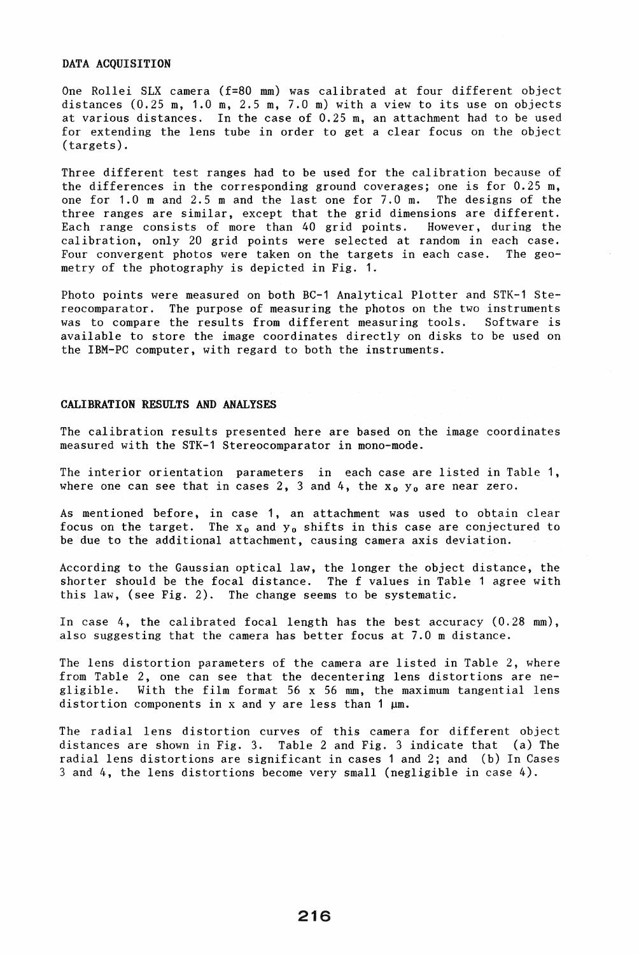### DATA ACQUISITION

One Rollei SLX camera (f=80 mm) was calibrated at four different object distances (0.25 m, 1.0 m, 2.5 m, 7.0 m) with a view to its use on objects at various distances. In the case of 0.25 m, an attachment had to be used for extending the lens tube in order to get a clear focus on the object (targets).

Three different test ranges had to be used for the calibration because of the differences in the corresponding ground coverages; one is for 0.25 m, one for 1.0 m and 2.5 m and the last one for 7.0 m. The designs of the three ranges are similar, except that the grid dimensions are different. Each range consists of more than 40 grid points. However, during the calibration, only 20 grid points were selected at random in each case. Four convergent photos were taken on the targets in each case. The geometry of the photography is depicted in Fig. 1.

Photo points were measured on both BC-1 Analytical Plotter and STK-1 Stereocomparator. The purpose of measuring the photos on the two instruments was to compare the results from different measuring tools. Software is available to store the image coordinates directly on disks to be used on the IBM-PC computer, with regard to both the instruments.

### CALIBRATION RESULTS AND ANALYSES

The calibration results presented here are based on the image coordinates measured with the STK-1 Stereocomparator in mono-mode.

The interior orientation parameters in each case are listed in Table 1, where one can see that in cases 2, 3 and 4, the  $x_0$   $y_0$  are near zero.

As mentioned before, in case 1, an attachment was used to obtain clear focus on the target. The  $x_0$  and  $y_0$  shifts in this case are conjectured to be due to the additional attachment, causing camera axis deviation.

According to the Gaussian optical law, the longer the object distance, the shorter should be the focal distance. The f values in Table 1 agree with this law, (see Fig. 2). The change seems to be systematic.

In case 4, the calibrated focal length has the best accuracy (0.28 mm), also suggesting that the camera has better focus at 7.0 m distance.

The lens distortion parameters of the camera are listed in Table 2, where from Table 2, one can see that the decentering lens distortions are negligible. With the film format 56 x 56 mm, the maximum tangential lens distortion components in x and y are less than 1  $\mu$ m.

The radial lens distortion curves of this camera for different object distances are shown in Fig. 3. Table 2 and Fig. 3 indicate that (a) The radial lens distortions are significant in cases 1 and 2; and (b) In Cases 3 and 4, the lens distortions become very small (negligible in case 4).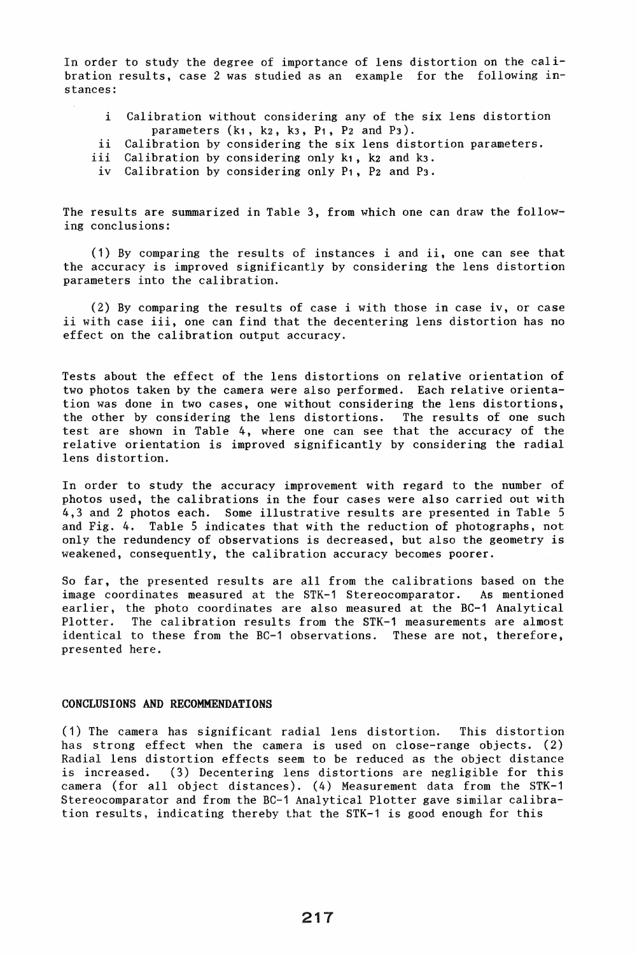In order to study the degree of importance of lens distortion on the calibration results, case 2 was studied as an example for the following instances:

- i Calibration without considering any of the six lens distortion parameters  $(k_1, k_2, k_3, P_1, P_2$  and  $P_3$ ).
- ii Calibration by considering the six lens distortion parameters.<br>iii Calibration by considering only k1, k2 and k3.
- ii Calibration by considering only k1, k2 and k3.<br>iv Calibration by considering only P1, P2 and P3.
- Calibration by considering only P1, P2 and P3.

The results are summarized in Table 3, from which one can draw the following conclusions:

(1) By comparing the results of instances i and ii, one can see that the accuracy is improved significantly by considering the lens distortion parameters into the calibration.

(2) By comparing the results of case i with those in case iv, or case ii with case iii, one can find that the decentering lens distortion has no effect on the calibration output accuracy.

Tests about the effect of the lens distortions on relative orientation of two photos taken by the camera were also performed. Each relative orientation was done in two cases, one without considering the lens distortions, the other by considering the lens distortions. The results of one such test are shown in Table 4, where one can see that the accuracy of the relative orientation is improved significantly by considering the radial lens distortion.

In order to study the accuracy improvement with regard to the number of photos used, the calibrations in the four cases were also carried out with 4,3 and 2 photos each. Some illustrative results are presented in Table 5 and Fig. 4. Table 5 indicates that with the reduction of photographs, not only the redundency of observations is decreased, but also the geometry is weakened, consequently, the calibration accuracy becomes poorer.

So far, the presented results are all from the calibrations based on the image coordinates measured at the STK-1 Stereocomparator. As mentioned earlier, the photo coordinates are also measured at the BC-1 Analytical Plotter. The calibration results from the STK-1 measurements are almost identical to these from the BC-1 observations. These are not, therefore, presented here.

# CONCLUSIONS AND RECOMMENDATIONS

(1) The camera has significant radial lens distortion. This distortion has strong effect when the camera is used on close-range objects. (2) Radial lens distortion effects seem to be reduced as the object distance is increased. (3) Decentering lens distortions are negligible for this camera (for all object distances). (4) Measurement data from the STK-1 Stereocomparator and from the BC-1 Analytical Plotter gave similar calibration results, indicating thereby that the STK-1 is good enough for this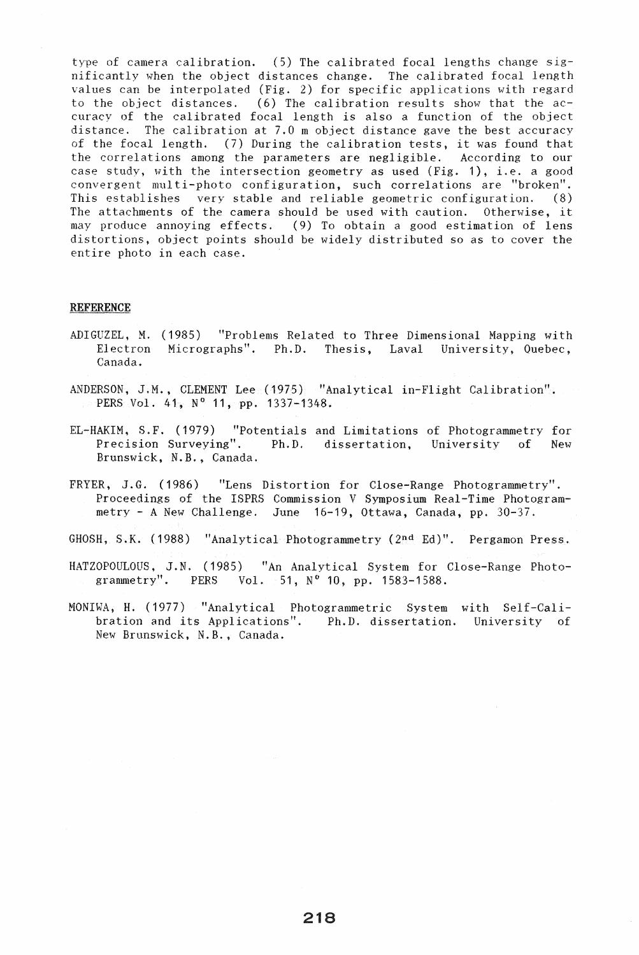type of camera calibration. (5) The calibrated focal lengths change significantly when the object distances change. The calibrated focal length values can be interpolated (Fig. 2) for specific applications with regard to the object distances. (6) The calibration results show that the  $ac$ curacy of the calibrated focal length is also a function of the object<br>distance. The calibration at 7.0 m object distance gave the best accuracy The calibration at  $7.0$  m object distance gave the best accuracy of the focal length. (7) During the calibration tests, it was found that the correlations among the parameters are negligible. According to our case study, with the intersection geometry as used (Fig. 1), i.e. a good convergent multi-photo configuration, such correlations are "broken". This establishes very stable and reliable geometric configuration. (8) The attachments of the camera should be used with caution. Otherwise, it may produce annoying effects. (9) To obtain a good estimation of lens distortions, object points should be widely distributed so as to cover the entire photo in each case.

#### REFERENCE

- ADIGUZEL, M. (1985) "Problems Related to Three Dimensional Mapping with Electron Micrographs". Ph.D. Thesis, Laval University, Quebec, Canada.
- ANDERSON, J.M., CLEMENT Lee (1975) "Analytical in-Flight Calibration". PERS Vol. 41, N° 11, pp. 1337-1348.
- EL-HAKIM, S.F. (1979) "Potentials and Limitations of Photogrammetry for Precision Surveying". Ph.D. dissertation, University of New Brunswick, N.B., Canada.
- FRYER, J.G. (1986) "Lens Distortion for Close-Range Photogrammetry". Proceedings of the ISPRS Commission V Symposium Real-Time Photogrammetry - A New Challenge. June 16-19, Ottawa, Canada, pp. 30-37.
- GHOSH, S.K. (1988) "Analytical Photogrammetry (2nd Ed)". Pergamon Press.

HATZOPOULOUS, J.N. (1985) "An Analytical System for Close-Range Photogrammetry". PERS Vol. 51,  $N^{\circ}$  10, pp. 1583-1588.

MONIWA, H. (1977) "Analytical Photogrammetric System with Self-Calibration and its Applications". Ph.D. dissertation. University of New Brunswick, N.B., Canada.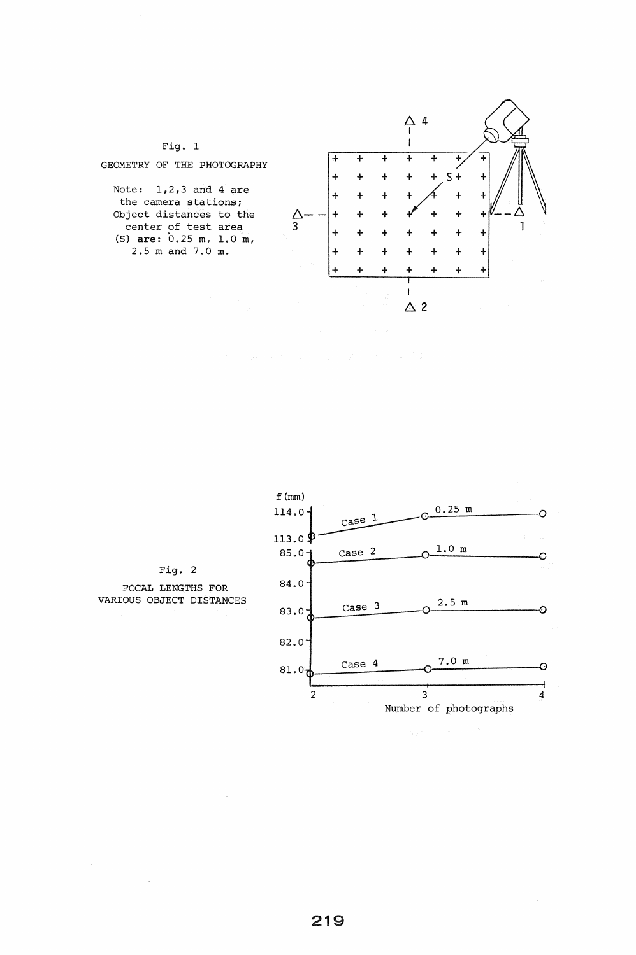



Fig. 2

FOCAL LENGTHS FOR VARIOUS OBJECT DISTANCES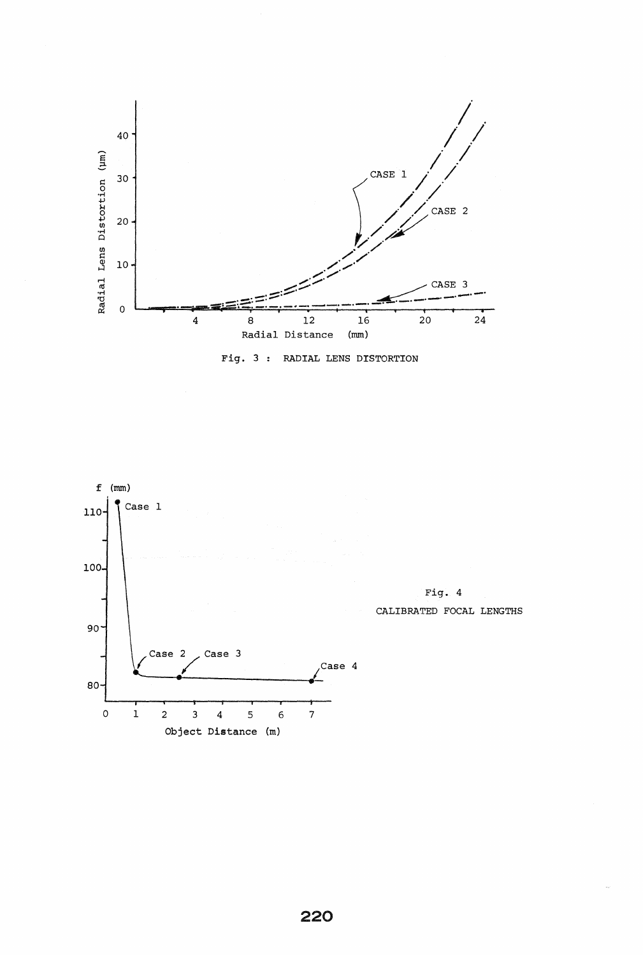



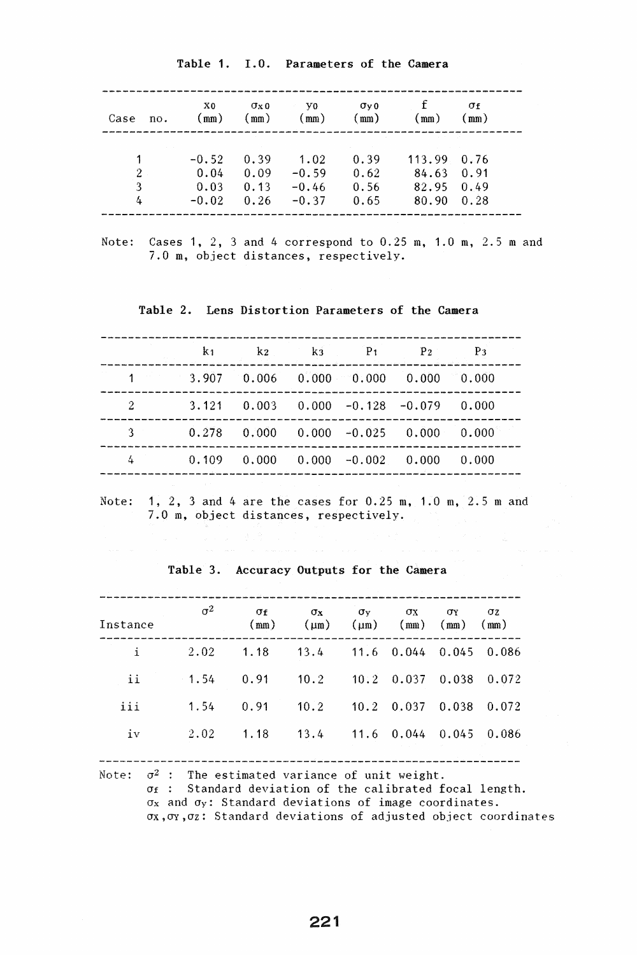| Case                     | X0                                 | $\sigma$ <sub>x</sub> $\sigma$ | V0.                                   | $\sigma$ <sub>v</sub> $\sigma$ | mm)                                            | σf                   |
|--------------------------|------------------------------------|--------------------------------|---------------------------------------|--------------------------------|------------------------------------------------|----------------------|
| no.                      | mm)                                | mm)                            | mm)                                   | $\text{mm}$ )                  |                                                | mm)                  |
| $\overline{2}$<br>3<br>4 | $-0.52$<br>0.04<br>0.03<br>$-0.02$ | 0.39<br>0.09<br>0.13<br>0.26   | 1.02<br>$-0.59$<br>$-0.46$<br>$-0.37$ | 0.39<br>0.62<br>0.56<br>0.65   | $113.99 \quad 0.76$<br>84.63<br>82.95<br>80.90 | 0.91<br>0.49<br>0.28 |

Table 1. 1.0. Parameters of the Camera

Note: Cases 1, 2, 3 and 4 correspond to 0.25 m, 1.0 m, 2.5 m and 7.0 m, object distances, respectively.

Table 2. Lens Distortion Parameters of the Camera

|   | k <sub>1</sub> k <sub>2</sub> k <sub>3</sub> P <sub>1</sub> P <sub>2</sub> P <sub>3</sub><br><u>ka ka kata ka katika ka kata ka kata ya kasa ka katika ka kasa ka katika katika ka katika k</u> |  |  |
|---|-------------------------------------------------------------------------------------------------------------------------------------------------------------------------------------------------|--|--|
|   | $1$ 3.907 0.006 0.000 0.000 0.000 0.000                                                                                                                                                         |  |  |
| 2 | $3.121$ 0.003 0.000 -0.128 -0.079 0.000                                                                                                                                                         |  |  |
|   | $0.278$ 0.000 0.000 -0.025 0.000 0.000                                                                                                                                                          |  |  |
| 4 | $0.109$ $0.000$ $0.000$ $-0.002$ $0.000$ $0.000$                                                                                                                                                |  |  |
|   |                                                                                                                                                                                                 |  |  |

Note: 1, 2, 3 and 4 are the cases for 0.25 m, 1.0 m, 2.5 m and 7.0 m, object distances, respectively.

|          | $\sigma^2$ | $\sigma_{\rm f}$                             | $\sigma_{\rm x}$                      | $\sigma_v$ | $\sigma$ x | OY.                  | $\sigma z$ |  |
|----------|------------|----------------------------------------------|---------------------------------------|------------|------------|----------------------|------------|--|
| Instance |            | (mm)                                         | $(\mu m)$                             | $(\mu m)$  |            | $(mm)$ $(mm)$ $(mm)$ |            |  |
| i        | 2.02       | $1.18$ $13.4$ $11.6$ $0.044$ $0.045$ $0.086$ |                                       |            |            |                      |            |  |
| ii       | $-1.54$    | 0.91                                         | $10.2$ $10.2$ $0.037$ $0.038$ $0.072$ |            |            |                      |            |  |
| iii      | 1.54       | 0.91                                         | $10.2$ $10.2$ $0.037$ $0.038$         |            |            |                      | 0.072      |  |
| iv       | 2.02       | 1.18                                         | $13.4$ 11.6 0.044 0.045               |            |            |                      | 0.086      |  |
|          |            |                                              |                                       |            |            |                      |            |  |

Table 3. Accuracy Outputs for the Camera

Note:  $\sigma^2$  : The estimated variance of unit weight.  $\sigma_f$ : Standard deviation of the calibrated focal length. *ax* and *ay:* Standard deviations of image coordinates. *aX,oY,az:* Standard deviations of adjusted object coordinates

221